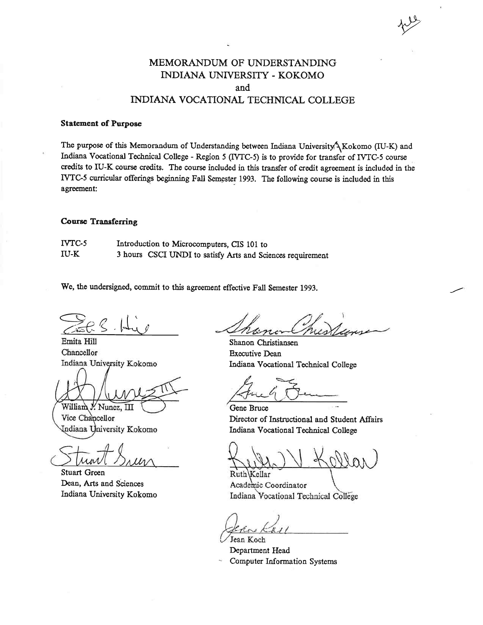### MEMORANDUM OF UNDERSTANDING INDIANA UNIVERSITY - KOKOMO and INDIANA VOCATIONAL TECHNICAL COLLEGE

#### **Statement of Purpose**

The purpose of this Memorandum of Understanding between Indiana University \Kokomo (IU-K) and Indiana Vocational Technical College - Region 5 (IVTC-5) is to provide for transfer of IVTC-5 course credits to IU-K course credits. The course included in this transfer of credit agreement is included in the IVTC-5 curricular offerings beginning Fall Semester 1993. The following course is included in this agreement:

#### **Course Transferring**

IVTC-5 Introduction to Microcomputers, CIS 101 to **IU-K** 3 hours CSCI UNDI to satisfy Arts and Sciences requirement

We, the undersigned, commit to this agreement effective Fall Semester 1993.

Emita Hill Chancellor Indiana University Kokomo

William J. Nunez, III

Vice Chancellor Indiana University Kokomo

**Stuart Green** Dean, Arts and Sciences Indiana University Kokomo

Shanon Christiansen **Executive Dean** Indiana Vocational Technical College

Gene Bruce Director of Instructional and Student Affairs Indiana Vocational Technical College

Ruth Kellar Academic Coordinator Indiana Vocational Technical College

Jean Koch

Department Head **Computer Information Systems**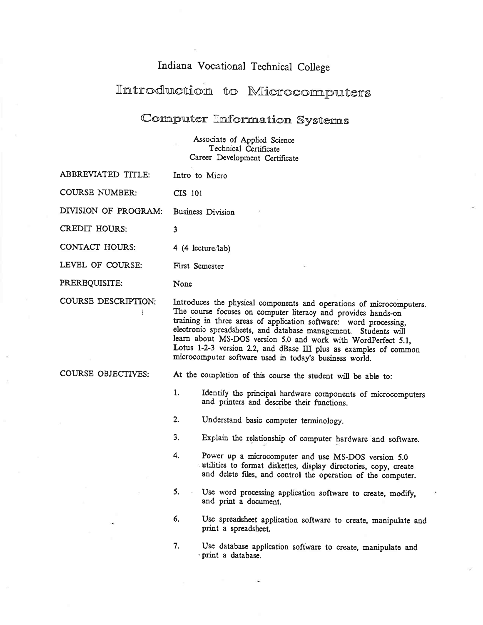## Indiana Vocational Technical College

# Introduction to Microcomputers

## Computer Information Systems

Associate of Applied Science<br>Technical Certificate Career Development Certificate

| <b>ABBREVIATED TITLE:</b> |                                                                                                                                                                                                                                                                                                                                                                                                                                                                               | Intro to Micro                                                                                                                                                                          |  |
|---------------------------|-------------------------------------------------------------------------------------------------------------------------------------------------------------------------------------------------------------------------------------------------------------------------------------------------------------------------------------------------------------------------------------------------------------------------------------------------------------------------------|-----------------------------------------------------------------------------------------------------------------------------------------------------------------------------------------|--|
| <b>COURSE NUMBER:</b>     | CIS 101                                                                                                                                                                                                                                                                                                                                                                                                                                                                       |                                                                                                                                                                                         |  |
| DIVISION OF PROGRAM:      |                                                                                                                                                                                                                                                                                                                                                                                                                                                                               | <b>Business Division</b>                                                                                                                                                                |  |
| <b>CREDIT HOURS:</b>      | 3                                                                                                                                                                                                                                                                                                                                                                                                                                                                             |                                                                                                                                                                                         |  |
| <b>CONTACT HOURS:</b>     | $4(4$ lecture $7ab$                                                                                                                                                                                                                                                                                                                                                                                                                                                           |                                                                                                                                                                                         |  |
| LEVEL OF COURSE:          | First Semester                                                                                                                                                                                                                                                                                                                                                                                                                                                                |                                                                                                                                                                                         |  |
| PREREQUISITE:             | None                                                                                                                                                                                                                                                                                                                                                                                                                                                                          |                                                                                                                                                                                         |  |
| COURSE DESCRIPTION:       | Introduces the physical components and operations of microcomputers.<br>The course focuses on computer literacy and provides hands-on<br>training in three areas of application software: word processing,<br>electronic spreadsheets, and database management. Students will<br>learn about MS-DOS version 5.0 and work with WordPerfect 5.1,<br>Lotus 1-2-3 version 2.2, and dBase III plus as examples of common<br>microcomputer software used in today's business world. |                                                                                                                                                                                         |  |
| COURSE OBJECTIVES:        | At the completion of this course the student will be able to:                                                                                                                                                                                                                                                                                                                                                                                                                 |                                                                                                                                                                                         |  |
|                           | 1.                                                                                                                                                                                                                                                                                                                                                                                                                                                                            | Identify the principal hardware components of microcomputers<br>and printers and describe their functions.                                                                              |  |
|                           | 2.                                                                                                                                                                                                                                                                                                                                                                                                                                                                            | Understand basic computer terminology.                                                                                                                                                  |  |
|                           | 3 <sub>1</sub>                                                                                                                                                                                                                                                                                                                                                                                                                                                                | Explain the relationship of computer hardware and software.                                                                                                                             |  |
|                           | 4.                                                                                                                                                                                                                                                                                                                                                                                                                                                                            | Power up a microcomputer and use MS-DOS version 5.0<br>utilities to format diskettes, display directories, copy, create<br>and delete files, and control the operation of the computer. |  |
|                           | 5.                                                                                                                                                                                                                                                                                                                                                                                                                                                                            | Use word processing application software to create, modify,<br>and print a document.                                                                                                    |  |
|                           | 6.                                                                                                                                                                                                                                                                                                                                                                                                                                                                            | Use spreadsheet application software to create, manipulate and<br>print a spreadsheet.                                                                                                  |  |
|                           | 7.                                                                                                                                                                                                                                                                                                                                                                                                                                                                            | Use database application software to create, manipulate and<br>print a database.                                                                                                        |  |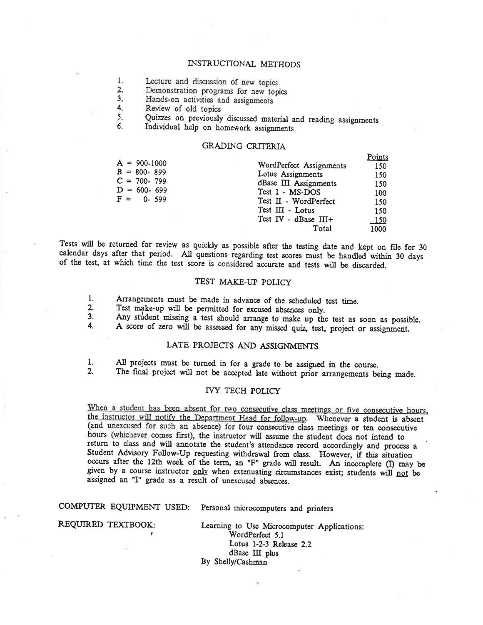#### INSTRUCTIONAL METHODS

1. Lecture and discussion of new topics

Demonstration programs for new topics  $2.$ 

Hands-on activities and assignments  $3<sub>1</sub>$ 

4. Review of old topics

Quizzes on previously discussed material and reading assignments 5.

Individual help on homework assignments 6.

#### **GRADING CRITERIA**

|                 |                         | LOMIZ       |
|-----------------|-------------------------|-------------|
| $A = 900-1000$  | WordPerfect Assignments | 150         |
| $B = 800 - 899$ | Lotus Assignments       | 150         |
| $C = 700 - 799$ | dBase III Assignments   | 150         |
| $D = 600 - 699$ | Test I - MS-DOS         | 100         |
| $F = 0 - 599$   | Test II - WordPerfect   | 150         |
|                 | Test $III$ - Lotus      | 150         |
|                 | Test IV - dBase III+    | <u> 150</u> |
|                 | Total                   | 1000        |
|                 |                         |             |

 $D = 1 - 1$ 

Tests will be returned for review as quickly as possible after the testing date and kept on file for 30 calendar days after that period. All questions regarding test scores must be handled within 30 days of the test, at which time the test score is considered accurate and tests will be discarded.

#### TEST MAKE-UP POLICY

 $1.$ Arrangements must be made in advance of the scheduled test time.

 $2.$ Test make-up will be permitted for excused absences only.

 $3<sub>1</sub>$ Any student missing a test should arrange to make up the test as soon as possible.  $\overline{4}$ .

A score of zero will be assessed for any missed quiz, test, project or assignment.

#### LATE PROJECTS AND ASSIGNMENTS

All projects must be turned in for a grade to be assigned in the course.  $1.$ 

The final project will not be accepted late without prior arrangements being made.  $2.$ 

#### **IVY TECH POLICY**

When a student has been absent for two consecutive class meetings or five consecutive hours, the instructor will notify the Department Head for follow-up. Whenever a student is absent (and unexcused for such an absence) for four consecutive class meetings or ten consecutive hours (whichever comes first), the instructor will assume the student does not intend to return to class and will annotate the student's attendance record accordingly and process a Student Advisory Follow-Up requesting withdrawal from class. However, if this situation occurs after the 12th week of the term, an "F" grade will result. An incomplete (I) may be given by a course instructor only when extenuating circumstances exist; students will not be assigned an "I" grade as a result of unexcused absences.

COMPUTER EQUIPMENT USED: Personal microcomputers and printers

REQUIRED TEXTBOOK:

Learning to Use Microcomputer Applications: WordPerfect 5.1 Lotus 1-2-3 Release 2.2 dBase III plus By Shelly/Cashman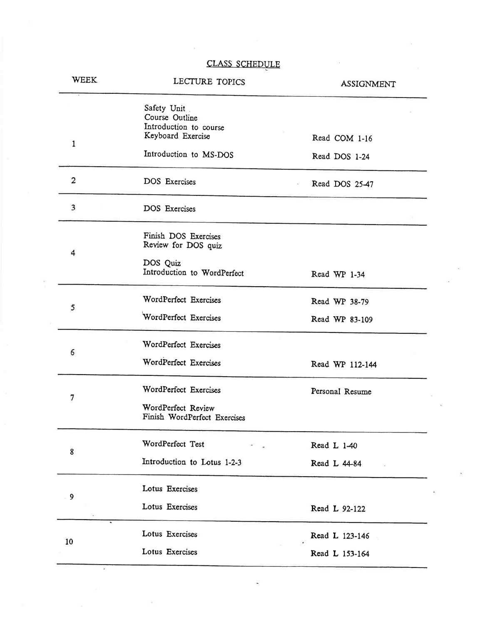### CLASS SCHEDULE

| WEEK                    | LECTURE TOPICS                                                                                         | <b>ASSIGNMENT</b>                |
|-------------------------|--------------------------------------------------------------------------------------------------------|----------------------------------|
| $\mathbf{1}$            | Safety Unit<br>Course Outline<br>Introduction to course<br>Keyboard Exercise<br>Introduction to MS-DOS | Read COM 1-16<br>Read DOS 1-24   |
| $\overline{\mathbf{c}}$ | <b>DOS</b> Exercises                                                                                   | Read DOS 25-47                   |
| 3                       | DOS Exercises                                                                                          |                                  |
| 4                       | Finish DOS Exercises<br>Review for DOS quiz<br>DOS Quiz<br>Introduction to WordPerfect                 | Read WP 1-34                     |
| 5                       | WordPerfect Exercises<br>WordPerfect Exercises                                                         | Read WP 38-79<br>Read WP 83-109  |
| 6                       | WordPerfect Exercises<br>WordPerfect Exercises                                                         | Read WP 112-144                  |
| 7                       | WordPerfect Exercises<br>WordPerfect Review<br>Finish WordPerfect Exercises                            | Personal Resume                  |
| 8                       | WordPerfect Test<br>Introduction to Lotus 1-2-3                                                        | Read L 1-40<br>Read L 44-84      |
| 9                       | Lotus Exercises<br>Lotus Exercises                                                                     | Read L 92-122                    |
| 10                      | Lotus Exercises<br>Lotus Exercises                                                                     | Read L 123-146<br>Read L 153-164 |